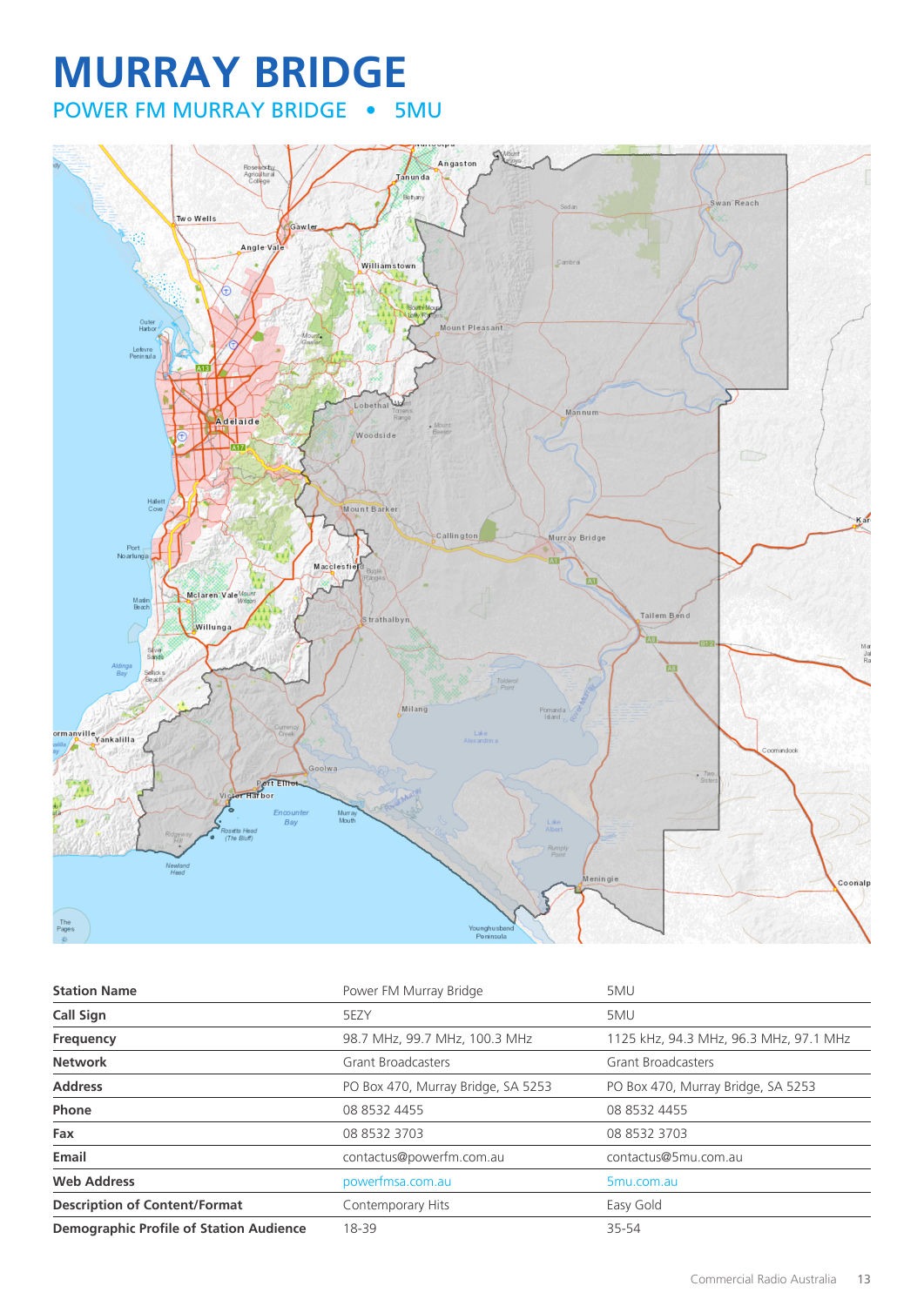## **MURRAY BRIDGE** POWER FM MURRAY BRIDGE • 5MU



| <b>Station Name</b>                            | Power FM Murray Bridge             | 5MU                                    |
|------------------------------------------------|------------------------------------|----------------------------------------|
| <b>Call Sign</b>                               | 5EZY                               | 5MU                                    |
| Frequency                                      | 98.7 MHz, 99.7 MHz, 100.3 MHz      | 1125 kHz, 94.3 MHz, 96.3 MHz, 97.1 MHz |
| <b>Network</b>                                 | <b>Grant Broadcasters</b>          | <b>Grant Broadcasters</b>              |
| <b>Address</b>                                 | PO Box 470, Murray Bridge, SA 5253 | PO Box 470, Murray Bridge, SA 5253     |
| Phone                                          | 08 8532 4455                       | 08 8532 4455                           |
| Fax                                            | 08 8532 3703                       | 08 8532 3703                           |
| Email                                          | contactus@powerfm.com.au           | contactus@5mu.com.au                   |
| <b>Web Address</b>                             | powerfmsa.com.au                   | 5mu.com.au                             |
| <b>Description of Content/Format</b>           | Contemporary Hits                  | Easy Gold                              |
| <b>Demographic Profile of Station Audience</b> | 18-39                              | 35-54                                  |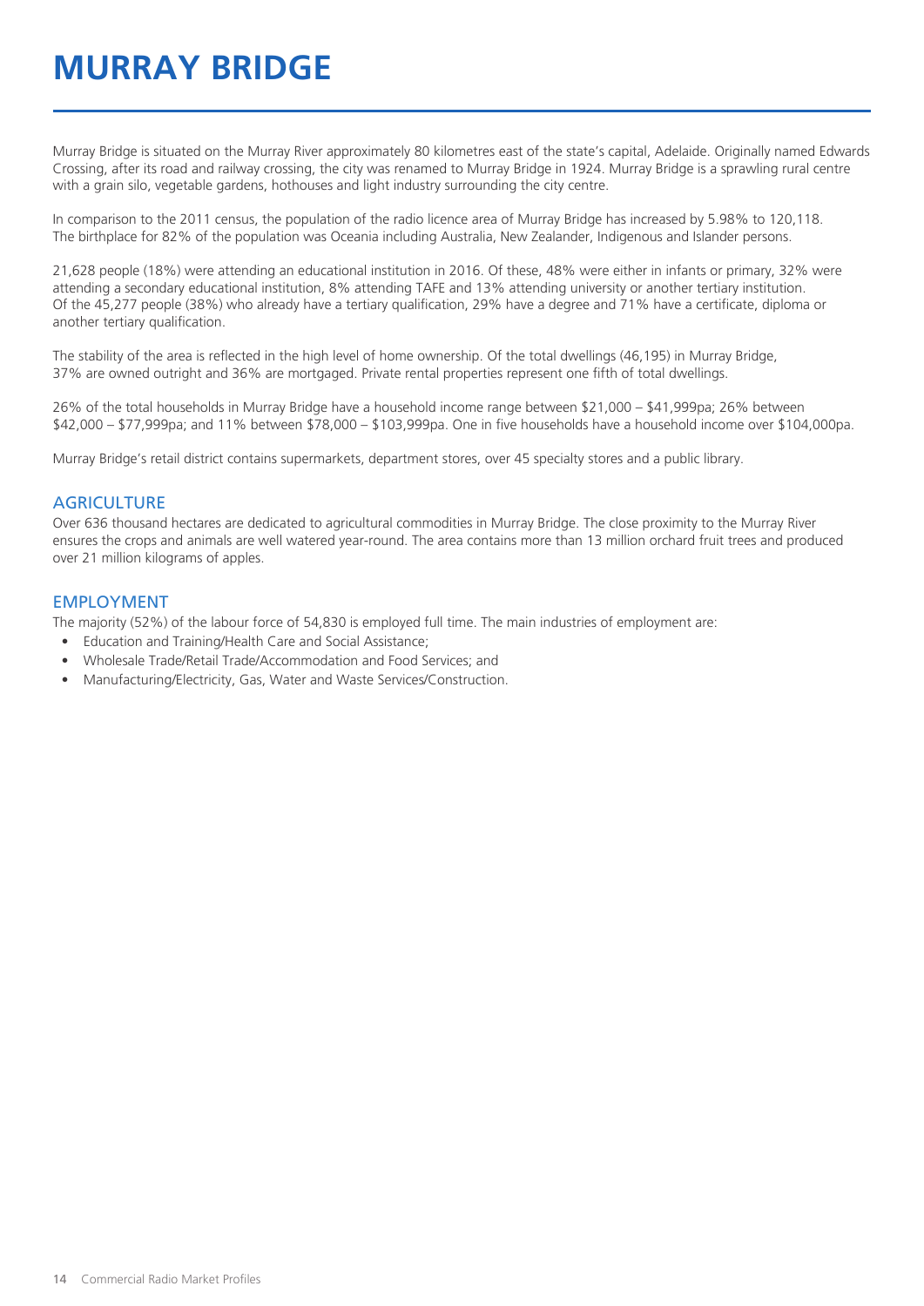## **MURRAY BRIDGE**

Murray Bridge is situated on the Murray River approximately 80 kilometres east of the state's capital, Adelaide. Originally named Edwards Crossing, after its road and railway crossing, the city was renamed to Murray Bridge in 1924. Murray Bridge is a sprawling rural centre with a grain silo, vegetable gardens, hothouses and light industry surrounding the city centre.

In comparison to the 2011 census, the population of the radio licence area of Murray Bridge has increased by 5.98% to 120,118. The birthplace for 82% of the population was Oceania including Australia, New Zealander, Indigenous and Islander persons.

21,628 people (18%) were attending an educational institution in 2016. Of these, 48% were either in infants or primary, 32% were attending a secondary educational institution, 8% attending TAFE and 13% attending university or another tertiary institution. Of the 45,277 people (38%) who already have a tertiary qualification, 29% have a degree and 71% have a certificate, diploma or another tertiary qualification.

The stability of the area is reflected in the high level of home ownership. Of the total dwellings (46,195) in Murray Bridge, 37% are owned outright and 36% are mortgaged. Private rental properties represent one fifth of total dwellings.

26% of the total households in Murray Bridge have a household income range between \$21,000 – \$41,999pa; 26% between \$42,000 – \$77,999pa; and 11% between \$78,000 – \$103,999pa. One in five households have a household income over \$104,000pa.

Murray Bridge's retail district contains supermarkets, department stores, over 45 specialty stores and a public library.

#### **AGRICULTURE**

Over 636 thousand hectares are dedicated to agricultural commodities in Murray Bridge. The close proximity to the Murray River ensures the crops and animals are well watered year-round. The area contains more than 13 million orchard fruit trees and produced over 21 million kilograms of apples.

#### EMPLOYMENT

The majority (52%) of the labour force of 54,830 is employed full time. The main industries of employment are:

- Education and Training/Health Care and Social Assistance;
- Wholesale Trade/Retail Trade/Accommodation and Food Services; and
- Manufacturing/Electricity, Gas, Water and Waste Services/Construction.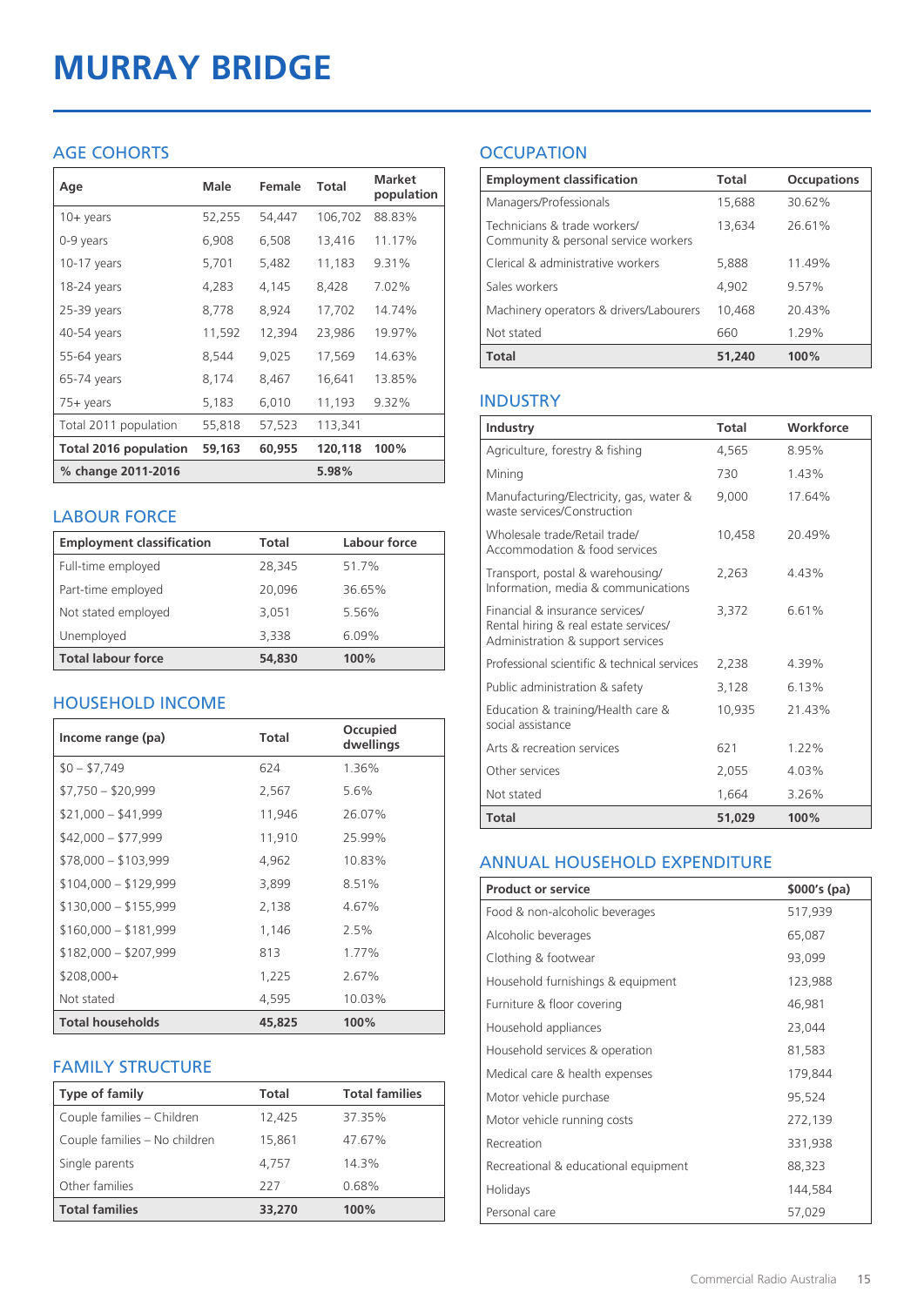# **MURRAY BRIDGE**

#### AGE COHORTS

| Age                          | Male   | Female | Total   | <b>Market</b><br>population |
|------------------------------|--------|--------|---------|-----------------------------|
| $10 + \gamma$ ears           | 52,255 | 54,447 | 106,702 | 88.83%                      |
| 0-9 years                    | 6,908  | 6,508  | 13,416  | 11.17%                      |
| $10-17$ years                | 5,701  | 5,482  | 11,183  | 9.31%                       |
| 18-24 years                  | 4,283  | 4,145  | 8,428   | 7.02%                       |
| 25-39 years                  | 8,778  | 8,924  | 17,702  | 14.74%                      |
| 40-54 years                  | 11,592 | 12,394 | 23,986  | 19.97%                      |
| 55-64 years                  | 8,544  | 9,025  | 17,569  | 14.63%                      |
| 65-74 years                  | 8,174  | 8,467  | 16,641  | 13.85%                      |
| $75+$ years                  | 5,183  | 6,010  | 11,193  | 9.32%                       |
| Total 2011 population        | 55,818 | 57,523 | 113,341 |                             |
| <b>Total 2016 population</b> | 59,163 | 60,955 | 120,118 | 100%                        |
| % change 2011-2016           |        |        | 5.98%   |                             |

#### LABOUR FORCE

| <b>Employment classification</b> | Total  | Labour force |
|----------------------------------|--------|--------------|
| Full-time employed               | 28,345 | 51.7%        |
| Part-time employed               | 20.096 | 36.65%       |
| Not stated employed              | 3.051  | 5.56%        |
| Unemployed                       | 3,338  | 6.09%        |
| <b>Total labour force</b>        | 54,830 | 100%         |

#### HOUSEHOLD INCOME

| Income range (pa)       | <b>Total</b> | Occupied<br>dwellings |
|-------------------------|--------------|-----------------------|
| $$0 - $7,749$           | 624          | 1.36%                 |
| $$7,750 - $20,999$      | 2,567        | 5.6%                  |
| $$21,000 - $41,999$     | 11,946       | 26.07%                |
| $$42,000 - $77,999$     | 11,910       | 25.99%                |
| $$78,000 - $103,999$    | 4,962        | 10.83%                |
| $$104,000 - $129,999$   | 3,899        | 8.51%                 |
| $$130,000 - $155,999$   | 2,138        | 4.67%                 |
| $$160,000 - $181,999$   | 1,146        | 2.5%                  |
| $$182,000 - $207,999$   | 813          | 1.77%                 |
| $$208,000+$             | 1,225        | 2.67%                 |
| Not stated              | 4,595        | 10.03%                |
| <b>Total households</b> | 45,825       | 100%                  |

#### FAMILY STRUCTURE

| <b>Type of family</b>         | Total  | <b>Total families</b> |
|-------------------------------|--------|-----------------------|
| Couple families - Children    | 12,425 | 37.35%                |
| Couple families - No children | 15,861 | 47.67%                |
| Single parents                | 4.757  | 14.3%                 |
| Other families                | 227    | 0.68%                 |
| <b>Total families</b>         | 33,270 | 100%                  |

### **OCCUPATION**

| <b>Employment classification</b>                                     | Total  | <b>Occupations</b> |
|----------------------------------------------------------------------|--------|--------------------|
| Managers/Professionals                                               | 15,688 | 30.62%             |
| Technicians & trade workers/<br>Community & personal service workers | 13,634 | 26.61%             |
| Clerical & administrative workers                                    | 5,888  | 11.49%             |
| Sales workers                                                        | 4,902  | 9.57%              |
| Machinery operators & drivers/Labourers                              | 10,468 | 20.43%             |
| Not stated                                                           | 660    | 1.29%              |
| <b>Total</b>                                                         | 51,240 | 100%               |

#### INDUSTRY

| Industry                                                                                                      | Total  | Workforce |
|---------------------------------------------------------------------------------------------------------------|--------|-----------|
| Agriculture, forestry & fishing                                                                               | 4,565  | 8.95%     |
| Mining                                                                                                        | 730    | 1.43%     |
| Manufacturing/Electricity, gas, water &<br>waste services/Construction                                        | 9,000  | 17.64%    |
| Wholesale trade/Retail trade/<br>Accommodation & food services                                                | 10,458 | 20.49%    |
| Transport, postal & warehousing/<br>Information, media & communications                                       | 2,263  | 4.43%     |
| Financial & insurance services/<br>Rental hiring & real estate services/<br>Administration & support services | 3,372  | 6.61%     |
| Professional scientific & technical services                                                                  | 2.238  | 4.39%     |
| Public administration & safety                                                                                | 3,128  | 6.13%     |
| Education & training/Health care &<br>social assistance                                                       | 10,935 | 21.43%    |
| Arts & recreation services                                                                                    | 621    | $1.22\%$  |
| Other services                                                                                                | 2,055  | 4.03%     |
| Not stated                                                                                                    | 1,664  | 3.26%     |
| <b>Total</b>                                                                                                  | 51.029 | 100%      |

#### ANNUAL HOUSEHOLD EXPENDITURE

| <b>Product or service</b>            | $$000's$ (pa) |
|--------------------------------------|---------------|
| Food & non-alcoholic beverages       | 517,939       |
| Alcoholic beverages                  | 65,087        |
| Clothing & footwear                  | 93,099        |
| Household furnishings & equipment    | 123,988       |
| Furniture & floor covering           | 46,981        |
| Household appliances                 | 23,044        |
| Household services & operation       | 81,583        |
| Medical care & health expenses       | 179,844       |
| Motor vehicle purchase               | 95,524        |
| Motor vehicle running costs          | 272,139       |
| Recreation                           | 331,938       |
| Recreational & educational equipment | 88,323        |
| Holidays                             | 144,584       |
| Personal care                        | 57,029        |